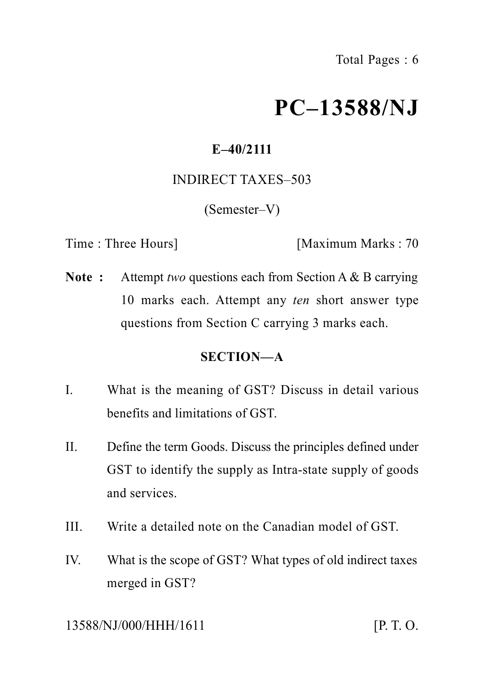# **PC–13588/NJ**

## **E–40/2111**

#### INDIRECT TAXES–503

(Semester–V)

Time : Three Hours] [Maximum Marks : 70

**Note :** Attempt *two* questions each from Section A & B carrying 10 marks each. Attempt any *ten* short answer type questions from Section C carrying 3 marks each.

### **SECTION—A**

- I. What is the meaning of GST? Discuss in detail various benefits and limitations of GST.
- II. Define the term Goods. Discuss the principles defined under GST to identify the supply as Intra-state supply of goods and services.
- III. Write a detailed note on the Canadian model of GST.
- IV. What is the scope of GST? What types of old indirect taxes merged in GST?

13588/NJ/000/HHH/1611 [P. T. O.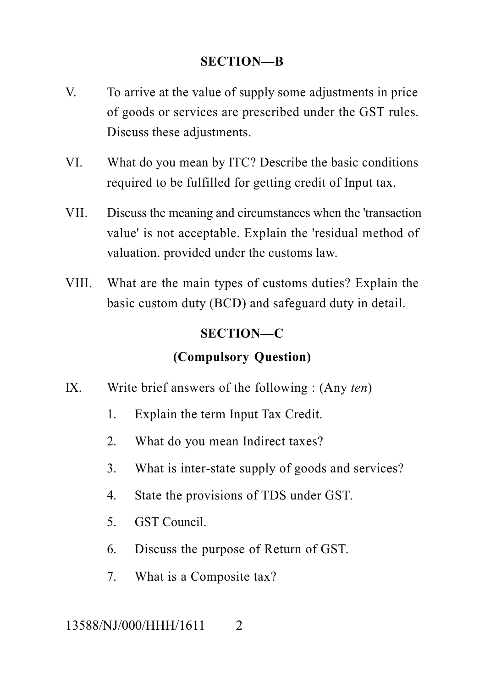#### **SECTION—B**

- V. To arrive at the value of supply some adjustments in price of goods or services are prescribed under the GST rules. Discuss these adjustments.
- VI. What do you mean by ITC? Describe the basic conditions required to be fulfilled for getting credit of Input tax.
- VII. Discuss the meaning and circumstances when the 'transaction value' is not acceptable. Explain the 'residual method of valuation. provided under the customs law.
- VIII. What are the main types of customs duties? Explain the basic custom duty (BCD) and safeguard duty in detail.

#### **SECTION—C**

## **(Compulsory Question)**

- IX. Write brief answers of the following : (Any *ten*)
	- 1. Explain the term Input Tax Credit.
	- 2. What do you mean Indirect taxes?
	- 3. What is inter-state supply of goods and services?
	- 4. State the provisions of TDS under GST.
	- 5. GST Council.
	- 6. Discuss the purpose of Return of GST.
	- 7. What is a Composite tax?

#### 13588/NJ/000/HHH/1611 2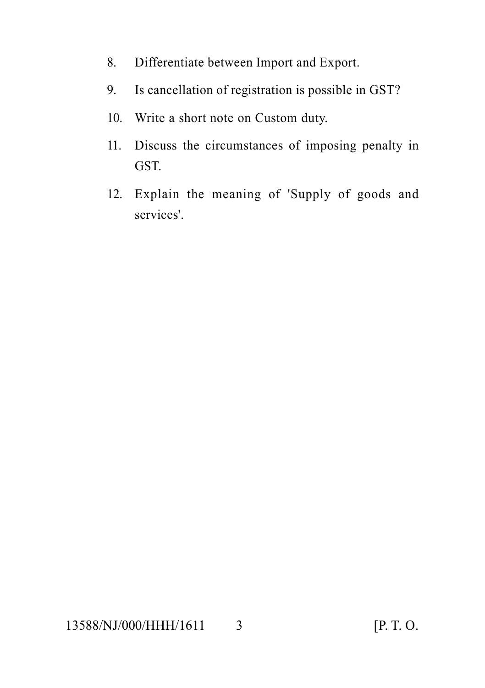- 8. Differentiate between Import and Export.
- 9. Is cancellation of registration is possible in GST?
- 10. Write a short note on Custom duty.
- 11. Discuss the circumstances of imposing penalty in GST.
- 12. Explain the meaning of 'Supply of goods and services'.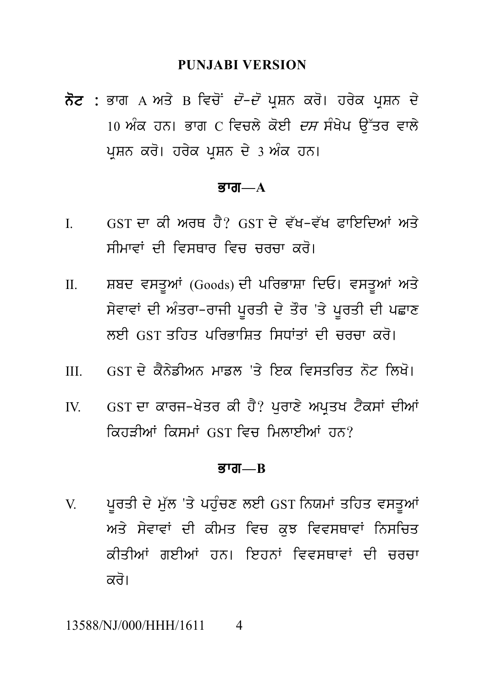#### **PUNJABI VERSION**

**ਨੋਟ** : ਭਾਗ A ਅਤੇ B ਵਿਚੋਂ *ਦੋ–ਦੋ* ਪੁਸ਼ਨ ਕਰੋ। ਹਰੇਕ ਪੁਸ਼ਨ ਦੇ 10 ਅੰਕ ਹਨ। ਭਾਗ  $C$  ਵਿਚਲੇ ਕੋਈ *ਦਸ* ਸੰਖੇਪ ਉੱਤਰ ਵਾਲੇ ਪਸ਼ਨ ਕਰੋ। ਹਰੇਕ ਪਸ਼ਨ ਦੇ 3 ਅੰਕ ਹਨ।

#### ਕਾਗ $-\mathbf{A}$

- GST ਦਾ ਕੀ ਅਰਥ ਹੈ? GST ਦੇ ਵੱਖ-ਵੱਖ ਫਾਇਦਿਆਂ ਅਤੇ  $\mathbf{I}$ ਸੀਮਾਵਾਂ ਦੀ ਵਿਸ਼ਸ਼ਾਰ ਵਿਚ ਚਰਚਾ *ਕ*ਰੋ।
- ਸ਼ਬਦ ਵਸਤੂਆਂ (Goods) ਦੀ ਪਰਿਭਾਸ਼ਾ ਦਿਓ। ਵਸਤੂਆਂ ਅਤੇ  $\Pi$ . ਸੇਵਾਵਾਂ ਦੀ ਅੰਤਰਾ-ਰਾਜੀ ਪੁਰਤੀ ਦੇ ਤੌਰ 'ਤੇ ਪੁਰਤੀ ਦੀ ਪਛਾਣ ਲਈ GST ਤਹਿਤ ਪਰਿਕਾਸਿਤ ਸਿਧਾਂਤਾਂ ਦੀ ਜਰਜ਼ਾ ਕਰੋ।
- GST ਦੇ ਕੈਨੇਡੀਅਨ ਮਾਡਲ 'ਤੇ ਇਕ ਵਿਸਤਰਿਤ ਨੋਟ ਲਿਖੋ।  $III$
- GST ਦਾ ਕਾਰਜ-ਖੇਤਰ ਕੀ ਹੈ? ਪਰਾਣੇ ਅਪਤਖ ਟੈਕਸਾਂ ਦੀਆਂ  $IV_{\cdot}$ ਕਿਹਤੀਆਂ ਕਿਸਮਾਂ GST ਵਿਚ ਮਿਲਾਈਆਂ ਹਨ?

#### ਭਾਗ $R$

ਪੁਰਤੀ ਦੇ ਮੁੱਲ 'ਤੇ ਪਹੁੰਚਣ ਲਈ GST ਨਿਯਮਾਂ ਤਹਿਤ ਵਸਤੂਆਂ V ਅਤੇ ਸੇਵਾਵਾਂ ਦੀ ਕੀਮਤ ਵਿਚ ਕਝ ਵਿਵਸਥਾਵਾਂ ਨਿਸਚਿਤ ਕੀਤੀਆਂ ਗਈਆਂ ਹਨ। ਇਹਨਾਂ ਵਿਵਸਥਾਵਾਂ ਦੀ ਚਰਚਾ ਕਰੋ।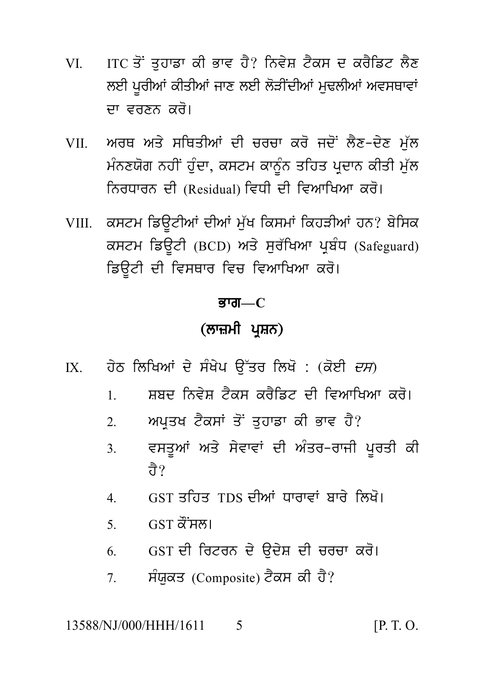- ITC ਤੋਂ ਤਹਾਡਾ ਕੀ ਭਾਵ ਹੈ? ਨਿਵੇਸ਼ ਟੈਕਸ ਦ ਕਰੈਡਿਟ ਲੈਣ VI — ਲਈ ਪਰੀਆਂ ਕੀਤੀਆਂ ਜਾਣ ਲਈ ਲੋੜੀਂਦੀਆਂ ਮਢਲੀਆਂ ਅਵਸਥਾਵਾਂ ਦਾ ਵਰਣਨ ਕਰੋ।
- ਅਰਥ ਅਤੇ ਸਥਿਤੀਆਂ ਦੀ ਚਰਚਾ ਕਰੋ ਜਦੋਂ ਲੈਣ-ਦੇਣ ਮੱਲ **VII** ਮੰਨਣਯੋਗ ਨਹੀਂ ਹੰਦਾ, ਕਸਟਮ ਕਾਨੰਨ ਤਹਿਤ ਪਦਾਨ ਕੀਤੀ ਮੱਲ ਨਿਰਧਾਰਨ ਦੀ (Residual) ਵਿਧੀ ਦੀ ਵਿਆਖਿਆ ਕਰੋ।
- VIII. ਕਸਟਮ ਡਿਊਟੀਆਂ ਦੀਆਂ ਮੁੱਖ ਕਿਸਮਾਂ ਕਿਹੜੀਆਂ ਹਨ? ਬੇਸਿਕ ਕਸਟਮ ਡਿਊਟੀ (BCD) ਅਤੇ ਸੁਰੱਖਿਆ ਪ੍ਰਬੰਧ (Safeguard) ਡਿੳਟੀ ਦੀ ਵਿਸਥਾਰ ਵਿਚ ਵਿਆਖਿਆ ਕਰੋ।

## ਭਾਗ— $\rm{C}$

## (ਲਾਜ਼ਮੀ ਪਸ਼ਨ)

- ਹੇਠ ਲਿਖਿਆਂ ਦੇ ਸੰਖੇਪ ਉੱਤਰ ਲਿਖੋ : (ਕੋਈ *ਦਸ*)  $IX$ 
	- ਸੂਸਦ ਨਿਵੇਸ ਟੈਕਸ ਕਰੈਡਿਟ ਦੀ ਵਿਆਖਿਆ ਕਰੋ।  $\mathbf{1}$
	- ਅਪਤਖ ਟੈਕਸਾਂ ਤੋਂ ਤਹਾਡਾ ਕੀ ਭਾਵ ਹੈ?  $2<sup>1</sup>$
	- ਵਸਤੁਆਂ ਅਤੇ ਸੇਵਾਵਾਂ ਦੀ ਅੰਤਰ-ਰਾਜੀ ਪੁਰਤੀ ਕੀ  $3<sub>1</sub>$ ਜੈ $\gamma$
	- GST ਤਹਿਤ TDS ਦੀਆਂ ਧਾਰਾਵਾਂ ਬਾਰੇ ਲਿਖੋ।  $\overline{4}$
	- GST ਕੌਂਸਲ।  $5<sub>1</sub>$
	- GST ਦੀ ਰਿਟਰਨ ਦੇ ਉਦੇਸ਼ ਦੀ ਚਰਚਾ ਕਰੋ। 6
	- ਸੰਯਕਤ (Composite) ਟੈਕਸ ਕੀ ਹੈ?  $7^{\circ}$

 $[P. T. O.$ 13588/NJ/000/HHH/1611  $\overline{\mathcal{L}}$